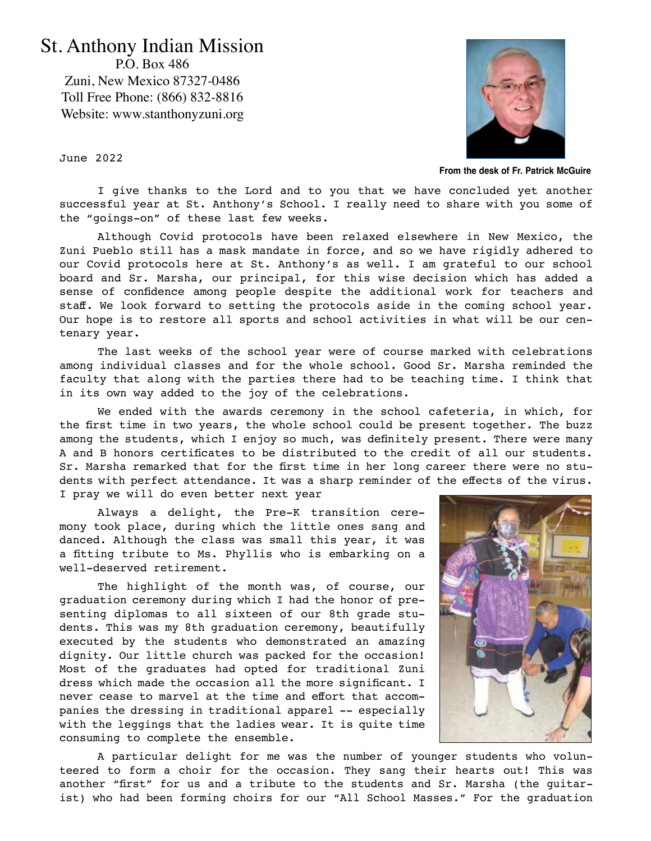## St. Anthony Indian Mission

P.O. Box 486 Zuni, New Mexico 87327-0486 Toll Free Phone: (866) 832-8816 Website: www.stanthonyzuni.org



**From the desk of Fr. Patrick McGuire**

June 2022

I give thanks to the Lord and to you that we have concluded yet another successful year at St. Anthony's School. I really need to share with you some of the "goings-on" of these last few weeks.

Although Covid protocols have been relaxed elsewhere in New Mexico, the Zuni Pueblo still has a mask mandate in force, and so we have rigidly adhered to our Covid protocols here at St. Anthony's as well. I am grateful to our school board and Sr. Marsha, our principal, for this wise decision which has added a sense of confidence among people despite the additional work for teachers and staff. We look forward to setting the protocols aside in the coming school year. Our hope is to restore all sports and school activities in what will be our centenary year.

The last weeks of the school year were of course marked with celebrations among individual classes and for the whole school. Good Sr. Marsha reminded the faculty that along with the parties there had to be teaching time. I think that in its own way added to the joy of the celebrations.

We ended with the awards ceremony in the school cafeteria, in which, for the first time in two years, the whole school could be present together. The buzz among the students, which I enjoy so much, was definitely present. There were many A and B honors certificates to be distributed to the credit of all our students. Sr. Marsha remarked that for the first time in her long career there were no students with perfect attendance. It was a sharp reminder of the effects of the virus. I pray we will do even better next year

Always a delight, the Pre-K transition ceremony took place, during which the little ones sang and danced. Although the class was small this year, it was a fitting tribute to Ms. Phyllis who is embarking on a well-deserved retirement.

The highlight of the month was, of course, our graduation ceremony during which I had the honor of presenting diplomas to all sixteen of our 8th grade students. This was my 8th graduation ceremony, beautifully executed by the students who demonstrated an amazing dignity. Our little church was packed for the occasion! Most of the graduates had opted for traditional Zuni dress which made the occasion all the more significant. I never cease to marvel at the time and effort that accompanies the dressing in traditional apparel -- especially with the leggings that the ladies wear. It is quite time consuming to complete the ensemble.



A particular delight for me was the number of younger students who volunteered to form a choir for the occasion. They sang their hearts out! This was another "first" for us and a tribute to the students and Sr. Marsha (the guitarist) who had been forming choirs for our "All School Masses." For the graduation